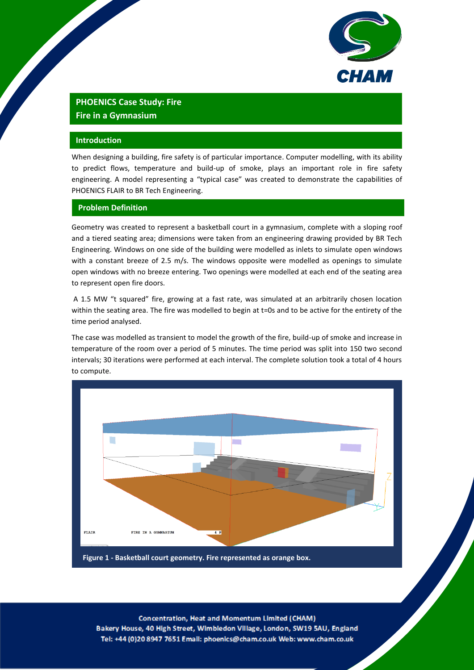

# **PHOENICS Case Study: Fire Fire in a Gymnasium**

### **Introduction**

When designing a building, fire safety is of particular importance. Computer modelling, with its ability to predict flows, temperature and build-up of smoke, plays an important role in fire safety engineering. A model representing a "typical case" was created to demonstrate the capabilities of PHOENICS FLAIR to BR Tech Engineering.

#### **Problem Definition**

Geometry was created to represent a basketball court in a gymnasium, complete with a sloping roof and a tiered seating area; dimensions were taken from an engineering drawing provided by BR Tech Engineering. Windows on one side of the building were modelled as inlets to simulate open windows with a constant breeze of 2.5 m/s. The windows opposite were modelled as openings to simulate open windows with no breeze entering. Two openings were modelled at each end of the seating area to represent open fire doors.

A 1.5 MW "t squared" fire, growing at a fast rate, was simulated at an arbitrarily chosen location within the seating area. The fire was modelled to begin at t=0s and to be active for the entirety of the time period analysed.

The case was modelled as transient to model the growth of the fire, build-up of smoke and increase in temperature of the room over a period of 5 minutes. The time period was split into 150 two second intervals; 30 iterations were performed at each interval. The complete solution took a total of 4 hours to compute.



Concentration, Heat and Momentum Limited (CHAM) Bakery House, 40 High Street, Wimbledon Village, London, SW19 5AU, England Tel: +44 (0)20 8947 7651 Email: phoenics@cham.co.uk Web: www.cham.co.uk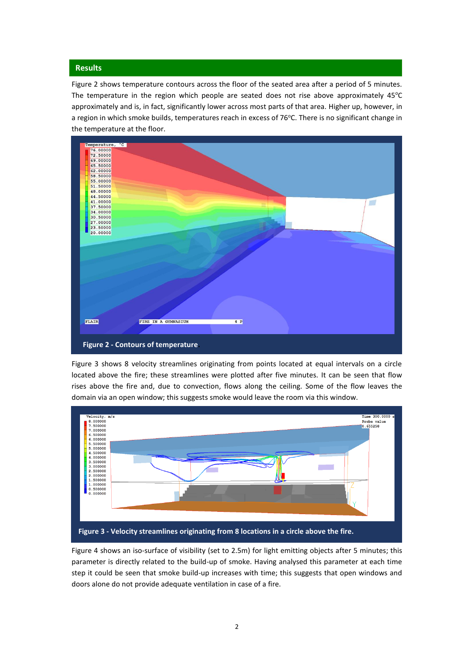#### **Results**

Figure 2 shows temperature contours across the floor of the seated area after a period of 5 minutes. The temperature in the region which people are seated does not rise above approximately  $45^{\circ}$ C approximately and is, in fact, significantly lower across most parts of that area. Higher up, however, in a region in which smoke builds, temperatures reach in excess of 76°C. There is no significant change in the temperature at the floor.



Figure 3 shows 8 velocity streamlines originating from points located at equal intervals on a circle located above the fire; these streamlines were plotted after five minutes. It can be seen that flow rises above the fire and, due to convection, flows along the ceiling. Some of the flow leaves the domain via an open window; this suggests smoke would leave the room via this window.



Figure 4 shows an iso-surface of visibility (set to 2.5m) for light emitting objects after 5 minutes; this parameter is directly related to the build-up of smoke. Having analysed this parameter at each time step it could be seen that smoke build-up increases with time; this suggests that open windows and doors alone do not provide adequate ventilation in case of a fire.